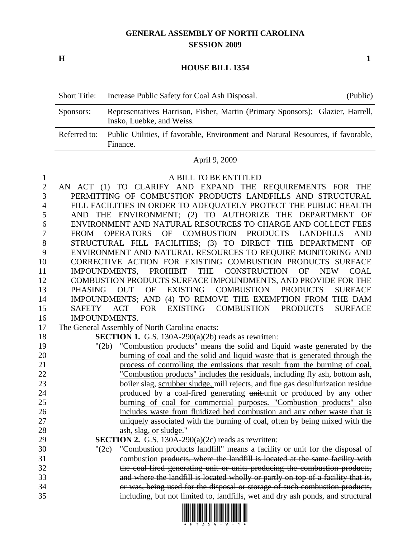## **GENERAL ASSEMBLY OF NORTH CAROLINA SESSION 2009**

**H** 1

## **HOUSE BILL 1354**

| <b>Short Title:</b> | Increase Public Safety for Coal Ash Disposal.                                                               | (Public) |
|---------------------|-------------------------------------------------------------------------------------------------------------|----------|
| Sponsors:           | Representatives Harrison, Fisher, Martin (Primary Sponsors); Glazier, Harrell,<br>Insko, Luebke, and Weiss. |          |
| Referred to:        | Public Utilities, if favorable, Environment and Natural Resources, if favorable,<br>Finance.                |          |

## April 9, 2009

1 A BILL TO BE ENTITLED

| $\boldsymbol{2}$ | AN ACT (1) TO CLARIFY AND EXPAND THE REQUIREMENTS FOR THE                                                              |
|------------------|------------------------------------------------------------------------------------------------------------------------|
| 3                | PERMITTING OF COMBUSTION PRODUCTS LANDFILLS AND STRUCTURAL                                                             |
| $\overline{4}$   | FILL FACILITIES IN ORDER TO ADEQUATELY PROTECT THE PUBLIC HEALTH                                                       |
| 5                | AND THE ENVIRONMENT; (2) TO AUTHORIZE THE DEPARTMENT OF                                                                |
| 6                | ENVIRONMENT AND NATURAL RESOURCES TO CHARGE AND COLLECT FEES                                                           |
| $\tau$           | OPERATORS OF COMBUSTION PRODUCTS LANDFILLS<br><b>FROM</b><br><b>AND</b>                                                |
| $8\,$            | STRUCTURAL FILL FACILITIES; (3) TO DIRECT THE DEPARTMENT OF                                                            |
| 9                | ENVIRONMENT AND NATURAL RESOURCES TO REQUIRE MONITORING AND                                                            |
| 10               | CORRECTIVE ACTION FOR EXISTING COMBUSTION PRODUCTS SURFACE                                                             |
| 11               | PROHIBIT THE CONSTRUCTION<br>IMPOUNDMENTS,<br><b>OF</b><br><b>NEW</b><br><b>COAL</b>                                   |
| 12               | COMBUSTION PRODUCTS SURFACE IMPOUNDMENTS, AND PROVIDE FOR THE                                                          |
| 13               | <b>EXISTING</b><br><b>OF</b><br><b>COMBUSTION</b><br><b>PHASING</b><br><b>OUT</b><br><b>PRODUCTS</b><br><b>SURFACE</b> |
| 14               | IMPOUNDMENTS; AND (4) TO REMOVE THE EXEMPTION FROM THE DAM                                                             |
| 15               | EXISTING COMBUSTION PRODUCTS<br>ACT FOR<br><b>SURFACE</b><br><b>SAFETY</b>                                             |
| 16               | <b>IMPOUNDMENTS.</b>                                                                                                   |
| 17               | The General Assembly of North Carolina enacts:                                                                         |
| 18               | SECTION 1. G.S. 130A-290(a)(2b) reads as rewritten:                                                                    |
| 19               | "Combustion products" means the solid and liquid waste generated by the<br>"(2b)                                       |
| 20               | burning of coal and the solid and liquid waste that is generated through the                                           |
| 21               | process of controlling the emissions that result from the burning of coal.                                             |
| 22               | "Combustion products" includes the residuals, including fly ash, bottom ash,                                           |
| 23               | boiler slag, scrubber sludge, mill rejects, and flue gas desulfurization residue                                       |
| 24               | produced by a coal-fired generating unit-unit or produced by any other                                                 |
| 25               | burning of coal for commercial purposes. "Combustion products" also                                                    |
| 26               | includes waste from fluidized bed combustion and any other waste that is                                               |
| 27               | uniquely associated with the burning of coal, often by being mixed with the                                            |
| 28               | ash, slag, or sludge."                                                                                                 |
| 29               | SECTION 2. G.S. 130A-290(a)(2c) reads as rewritten:                                                                    |
| 30               | "Combustion products landfill" means a facility or unit for the disposal of<br>" $(2c)$                                |
| 31               | combustion products, where the landfill is located at the same facility with                                           |
| 32               | the coal-fired generating unit or units producing the combustion products,                                             |
| 33               | and where the landfill is located wholly or partly on top of a facility that is,                                       |
| 34               | or was, being used for the disposal or storage of such combustion products,                                            |
| 35               | including, but not limited to, landfills, wet and dry ash ponds, and structural                                        |

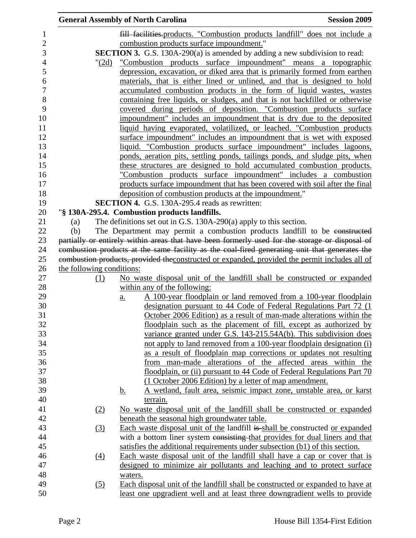|     |       | <b>General Assembly of North Carolina</b>                                                                                                 | <b>Session 2009</b> |
|-----|-------|-------------------------------------------------------------------------------------------------------------------------------------------|---------------------|
|     |       | fill facilities.products. "Combustion products landfill" does not include a                                                               |                     |
|     |       | combustion products surface impoundment."                                                                                                 |                     |
|     |       | SECTION 3. G.S. 130A-290(a) is amended by adding a new subdivision to read:                                                               |                     |
|     | "(2d) | "Combustion products surface impoundment" means a topographic                                                                             |                     |
|     |       | depression, excavation, or diked area that is primarily formed from earthen                                                               |                     |
|     |       | materials, that is either lined or unlined, and that is designed to hold                                                                  |                     |
|     |       | accumulated combustion products in the form of liquid wastes, wastes                                                                      |                     |
|     |       | containing free liquids, or sludges, and that is not backfilled or otherwise                                                              |                     |
|     |       | covered during periods of deposition. "Combustion products surface                                                                        |                     |
|     |       | impoundment" includes an impoundment that is dry due to the deposited                                                                     |                     |
|     |       | liquid having evaporated, volatilized, or leached. "Combustion products                                                                   |                     |
|     |       | surface impoundment" includes an impoundment that is wet with exposed                                                                     |                     |
|     |       | liquid. "Combustion products surface impoundment" includes lagoons,                                                                       |                     |
|     |       | ponds, aeration pits, settling ponds, tailings ponds, and sludge pits, when                                                               |                     |
|     |       | these structures are designed to hold accumulated combustion products.                                                                    |                     |
|     |       | "Combustion products surface impoundment" includes a combustion                                                                           |                     |
|     |       | products surface impoundment that has been covered with soil after the final                                                              |                     |
|     |       | deposition of combustion products at the impoundment."                                                                                    |                     |
|     |       | <b>SECTION 4.</b> G.S. 130A-295.4 reads as rewritten:                                                                                     |                     |
|     |       | "§ 130A-295.4. Combustion products landfills.                                                                                             |                     |
| (a) |       | The definitions set out in G.S. 130A-290(a) apply to this section.                                                                        |                     |
| (b) |       | The Department may permit a combustion products landfill to be constructed                                                                |                     |
|     |       | partially or entirely within areas that have been formerly used for the storage or disposal of                                            |                     |
|     |       | combustion products at the same facility as the coal-fired generating unit that generates the                                             |                     |
|     |       | combustion products, provided the constructed or expanded, provided the permit includes all of                                            |                     |
|     |       | the following conditions:                                                                                                                 |                     |
|     | (1)   | No waste disposal unit of the landfill shall be constructed or expanded                                                                   |                     |
|     |       | within any of the following:                                                                                                              |                     |
|     |       | <u>A 100-year floodplain or land removed from a 100-year floodplain</u><br>$\underline{a}$ .                                              |                     |
|     |       | designation pursuant to 44 Code of Federal Regulations Part 72 (1)                                                                        |                     |
|     |       | October 2006 Edition) as a result of man-made alterations within the<br>floodplain such as the placement of fill, except as authorized by |                     |
|     |       | variance granted under G.S. 143-215.54A(b). This subdivision does                                                                         |                     |
|     |       | not apply to land removed from a 100-year floodplain designation (i)                                                                      |                     |
|     |       | as a result of floodplain map corrections or updates not resulting                                                                        |                     |
|     |       | from man-made alterations of the affected areas within the                                                                                |                     |
|     |       | floodplain, or (ii) pursuant to 44 Code of Federal Regulations Part 70                                                                    |                     |
|     |       | (1 October 2006 Edition) by a letter of map amendment.                                                                                    |                     |
|     |       | A wetland, fault area, seismic impact zone, unstable area, or karst<br><u>b.</u>                                                          |                     |
|     |       | terrain.                                                                                                                                  |                     |
|     | (2)   | No waste disposal unit of the landfill shall be constructed or expanded                                                                   |                     |
|     |       | beneath the seasonal high groundwater table.                                                                                              |                     |
|     | (3)   | Each waste disposal unit of the landfill is shall be constructed or expanded                                                              |                     |
|     |       | with a bottom liner system consisting that provides for dual liners and that                                                              |                     |
|     |       | satisfies the additional requirements under subsection (b1) of this section.                                                              |                     |
|     | (4)   | Each waste disposal unit of the landfill shall have a cap or cover that is                                                                |                     |
|     |       | designed to minimize air pollutants and leaching and to protect surface                                                                   |                     |
|     |       | waters.                                                                                                                                   |                     |
|     | (5)   | Each disposal unit of the landfill shall be constructed or expanded to have at                                                            |                     |
|     |       | least one upgradient well and at least three downgradient wells to provide                                                                |                     |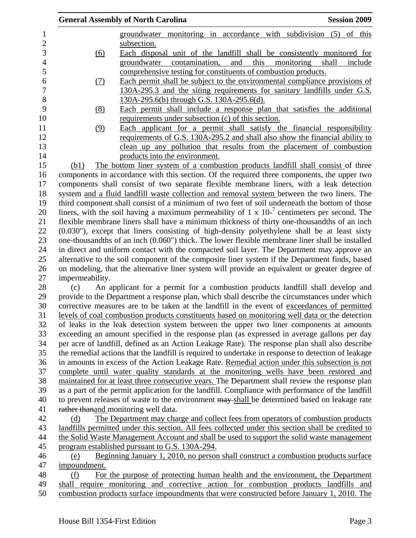|                 | <b>General Assembly of North Carolina</b>                                                                                                                                                        | <b>Session 2009</b>                    |
|-----------------|--------------------------------------------------------------------------------------------------------------------------------------------------------------------------------------------------|----------------------------------------|
|                 | groundwater monitoring in accordance with subdivision (5) of this                                                                                                                                |                                        |
|                 | subsection.                                                                                                                                                                                      |                                        |
| <u>(6)</u>      | Each disposal unit of the landfill shall be consistently monitored for                                                                                                                           |                                        |
|                 | contamination,<br>and<br>groundwater                                                                                                                                                             | this<br>monitoring<br>shall<br>include |
|                 | comprehensive testing for constituents of combustion products.                                                                                                                                   |                                        |
| (7)             | Each permit shall be subject to the environmental compliance provisions of                                                                                                                       |                                        |
|                 | 130A-295.3 and the siting requirements for sanitary landfills under G.S.                                                                                                                         |                                        |
|                 | 130A-295.6(b) through G.S. 130A-295.6(d).                                                                                                                                                        |                                        |
| <u>(8)</u>      | Each permit shall include a response plan that satisfies the additional                                                                                                                          |                                        |
|                 | requirements under subsection (c) of this section.                                                                                                                                               |                                        |
| (9)             | Each applicant for a permit shall satisfy the financial responsibility                                                                                                                           |                                        |
|                 | requirements of G.S. 130A-295.2 and shall also show the financial ability to                                                                                                                     |                                        |
|                 | clean up any pollution that results from the placement of combustion                                                                                                                             |                                        |
|                 | products into the environment.                                                                                                                                                                   |                                        |
| (b1)            | The bottom liner system of a combustion products landfill shall consist of three                                                                                                                 |                                        |
|                 | components in accordance with this section. Of the required three components, the upper two                                                                                                      |                                        |
|                 | components shall consist of two separate flexible membrane liners, with a leak detection                                                                                                         |                                        |
|                 | system and a fluid landfill waste collection and removal system between the two liners. The                                                                                                      |                                        |
|                 | third component shall consist of a minimum of two feet of soil underneath the bottom of those                                                                                                    |                                        |
|                 | liners, with the soil having a maximum permeability of 1 x $10^{-7}$ centimeters per second. The                                                                                                 |                                        |
|                 | flexible membrane liners shall have a minimum thickness of thirty one-thousandths of an inch                                                                                                     |                                        |
|                 | (0.030"), except that liners consisting of high-density polyethylene shall be at least sixty                                                                                                     |                                        |
|                 | one-thousandths of an inch (0.060") thick. The lower flexible membrane liner shall be installed                                                                                                  |                                        |
|                 | in direct and uniform contact with the compacted soil layer. The Department may approve an                                                                                                       |                                        |
|                 | alternative to the soil component of the composite liner system if the Department finds, based<br>on modeling, that the alternative liner system will provide an equivalent or greater degree of |                                        |
| impermeability. |                                                                                                                                                                                                  |                                        |
| (c)             | An applicant for a permit for a combustion products landfill shall develop and                                                                                                                   |                                        |
|                 | provide to the Department a response plan, which shall describe the circumstances under which                                                                                                    |                                        |
|                 | corrective measures are to be taken at the landfill in the event of exceedances of permitted                                                                                                     |                                        |
|                 | levels of coal combustion products constituents based on monitoring well data or the detection                                                                                                   |                                        |
|                 | of leaks in the leak detection system between the upper two liner components at amounts                                                                                                          |                                        |
|                 | exceeding an amount specified in the response plan (as expressed in average gallons per day                                                                                                      |                                        |
|                 | per acre of landfill, defined as an Action Leakage Rate). The response plan shall also describe                                                                                                  |                                        |
|                 | the remedial actions that the landfill is required to undertake in response to detection of leakage                                                                                              |                                        |
|                 | in amounts in excess of the Action Leakage Rate. Remedial action under this subsection is not                                                                                                    |                                        |
|                 | complete until water quality standards at the monitoring wells have been restored and                                                                                                            |                                        |
|                 | maintained for at least three consecutive years. The Department shall review the response plan                                                                                                   |                                        |
|                 | as a part of the permit application for the landfill. Compliance with performance of the landfill                                                                                                |                                        |
|                 | to prevent releases of waste to the environment may shall be determined based on leakage rate                                                                                                    |                                        |
|                 | rather thanand monitoring well data.                                                                                                                                                             |                                        |
| (d)             | The Department may charge and collect fees from operators of combustion products                                                                                                                 |                                        |
|                 | landfills permitted under this section. All fees collected under this section shall be credited to                                                                                               |                                        |
|                 | the Solid Waste Management Account and shall be used to support the solid waste management                                                                                                       |                                        |
|                 | program established pursuant to G.S. 130A-294.                                                                                                                                                   |                                        |
| (e)             | Beginning January 1, 2010, no person shall construct a combustion products surface                                                                                                               |                                        |
| impoundment.    |                                                                                                                                                                                                  |                                        |
| (f)             | For the purpose of protecting human health and the environment, the Department                                                                                                                   |                                        |
|                 | shall require monitoring and corrective action for combustion products landfills and                                                                                                             |                                        |
|                 | combustion products surface impoundments that were constructed before January 1, 2010. The                                                                                                       |                                        |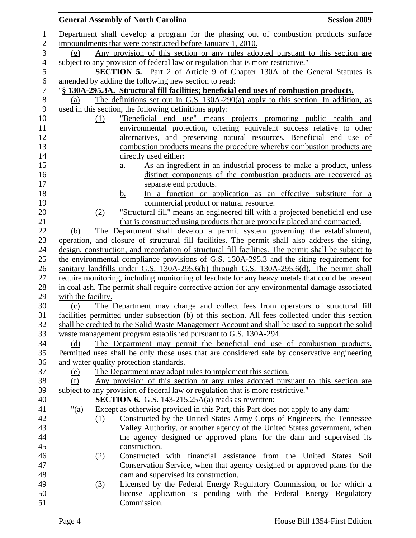|                |                    |                   | <b>General Assembly of North Carolina</b>                                                           | <b>Session 2009</b>                                                 |
|----------------|--------------------|-------------------|-----------------------------------------------------------------------------------------------------|---------------------------------------------------------------------|
| 1              |                    |                   | Department shall develop a program for the phasing out of combustion products surface               |                                                                     |
| $\overline{2}$ |                    |                   | impoundments that were constructed before January 1, 2010.                                          |                                                                     |
| 3              | (g)                |                   | Any provision of this section or any rules adopted pursuant to this section are                     |                                                                     |
| $\overline{4}$ |                    |                   | subject to any provision of federal law or regulation that is more restrictive."                    |                                                                     |
| 5              |                    |                   | <b>SECTION 5.</b> Part 2 of Article 9 of Chapter 130A of the General Statutes is                    |                                                                     |
| 6              |                    |                   | amended by adding the following new section to read:                                                |                                                                     |
| $\tau$         |                    |                   | "§ 130A-295.3A. Structural fill facilities; beneficial end uses of combustion products.             |                                                                     |
| $8\,$          | (a)                |                   | The definitions set out in G.S. 130A-290(a) apply to this section. In addition, as                  |                                                                     |
| 9              |                    |                   | used in this section, the following definitions apply:                                              |                                                                     |
| 10             |                    | (1)               | "Beneficial end use" means projects promoting public health and                                     |                                                                     |
| 11             |                    |                   | environmental protection, offering equivalent success relative to other                             |                                                                     |
| 12             |                    |                   | alternatives, and preserving natural resources. Beneficial end use of                               |                                                                     |
| 13             |                    |                   | combustion products means the procedure whereby combustion products are                             |                                                                     |
| 14             |                    |                   | directly used either:                                                                               |                                                                     |
| 15             |                    | $\underline{a}$ . |                                                                                                     | As an ingredient in an industrial process to make a product, unless |
| 16             |                    |                   |                                                                                                     | distinct components of the combustion products are recovered as     |
| 17             |                    |                   | separate end products.                                                                              |                                                                     |
| 18             |                    | $\mathbf b$ .     |                                                                                                     | In a function or application as an effective substitute for a       |
| 19             |                    |                   | commercial product or natural resource.                                                             |                                                                     |
| 20             |                    | (2)               | "Structural fill" means an engineered fill with a projected beneficial end use                      |                                                                     |
| 21             |                    |                   | that is constructed using products that are properly placed and compacted.                          |                                                                     |
| 22             | (b)                |                   | The Department shall develop a permit system governing the establishment,                           |                                                                     |
| 23             |                    |                   | operation, and closure of structural fill facilities. The permit shall also address the siting,     |                                                                     |
| 24             |                    |                   | design, construction, and recordation of structural fill facilities. The permit shall be subject to |                                                                     |
| 25             |                    |                   | the environmental compliance provisions of G.S. 130A-295.3 and the siting requirement for           |                                                                     |
| 26             |                    |                   | sanitary landfills under G.S. 130A-295.6(b) through G.S. 130A-295.6(d). The permit shall            |                                                                     |
| 27             |                    |                   | require monitoring, including monitoring of leachate for any heavy metals that could be present     |                                                                     |
| 28             |                    |                   | in coal ash. The permit shall require corrective action for any environmental damage associated     |                                                                     |
| 29             | with the facility. |                   |                                                                                                     |                                                                     |
| 30             | (c)                |                   | The Department may charge and collect fees from operators of structural fill                        |                                                                     |
| 31             |                    |                   | facilities permitted under subsection (b) of this section. All fees collected under this section    |                                                                     |
| 32             |                    |                   | shall be credited to the Solid Waste Management Account and shall be used to support the solid      |                                                                     |
| 33             |                    |                   | waste management program established pursuant to G.S. 130A-294.                                     |                                                                     |
| 34             | (d)                |                   | The Department may permit the beneficial end use of combustion products.                            |                                                                     |
| 35             |                    |                   | Permitted uses shall be only those uses that are considered safe by conservative engineering        |                                                                     |
| 36             |                    |                   | and water quality protection standards.                                                             |                                                                     |
| 37             | (e)                |                   | The Department may adopt rules to implement this section.                                           |                                                                     |
| 38             | (f)                |                   | Any provision of this section or any rules adopted pursuant to this section are                     |                                                                     |
| 39             |                    |                   | subject to any provision of federal law or regulation that is more restrictive."                    |                                                                     |
| 40             |                    |                   | <b>SECTION 6.</b> G.S. 143-215.25A(a) reads as rewritten:                                           |                                                                     |
| 41             | " $(a)$            |                   | Except as otherwise provided in this Part, this Part does not apply to any dam:                     |                                                                     |
| 42             |                    | (1)               | Constructed by the United States Army Corps of Engineers, the Tennessee                             |                                                                     |
| 43             |                    |                   | Valley Authority, or another agency of the United States government, when                           |                                                                     |
| 44             |                    |                   | the agency designed or approved plans for the dam and supervised its                                |                                                                     |
| 45             |                    |                   | construction.                                                                                       |                                                                     |
| 46             |                    | (2)               | Constructed with financial assistance from the United States Soil                                   |                                                                     |
| 47             |                    |                   | Conservation Service, when that agency designed or approved plans for the                           |                                                                     |
| 48             |                    |                   | dam and supervised its construction.                                                                |                                                                     |
| 49             |                    | (3)               | Licensed by the Federal Energy Regulatory Commission, or for which a                                |                                                                     |
| 50             |                    |                   | license application is pending with the Federal Energy Regulatory                                   |                                                                     |
| 51             |                    |                   | Commission.                                                                                         |                                                                     |
|                |                    |                   |                                                                                                     |                                                                     |